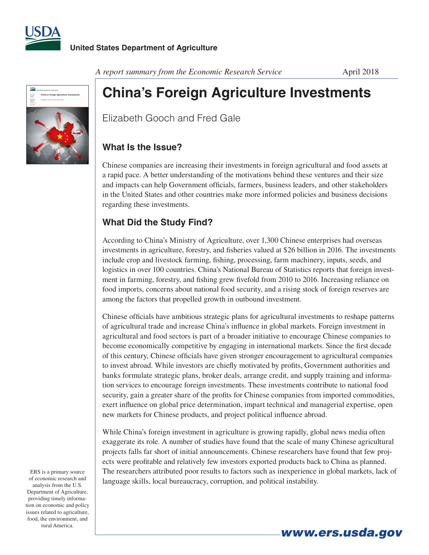



*A report summary from the Economic Research Service* **April 2018** 

## **China's Foreign Agriculture Investments**

Elizabeth Gooch and Fred Gale

## **What Is the Issue?**

Chinese companies are increasing their investments in foreign agricultural and food assets at a rapid pace. A better understanding of the motivations behind these ventures and their size and impacts can help Government officials, farmers, business leaders, and other stakeholders in the United States and other countries make more informed policies and business decisions regarding these investments.

## **What Did the Study Find?**

According to China's Ministry of Agriculture, over 1,300 Chinese enterprises had overseas investments in agriculture, forestry, and fisheries valued at \$26 billion in 2016. The investments include crop and livestock farming, fishing, processing, farm machinery, inputs, seeds, and logistics in over 100 countries. China's National Bureau of Statistics reports that foreign investment in farming, forestry, and fishing grew fivefold from 2010 to 2016. Increasing reliance on food imports, concerns about national food security, and a rising stock of foreign reserves are among the factors that propelled growth in outbound investment.

Chinese officials have ambitious strategic plans for agricultural investments to reshape patterns of agricultural trade and increase China's influence in global markets. Foreign investment in agricultural and food sectors is part of a broader initiative to encourage Chinese companies to become economically competitive by engaging in international markets. Since the first decade of this century, Chinese officials have given stronger encouragement to agricultural companies to invest abroad. While investors are chiefly motivated by profits, Government authorities and banks formulate strategic plans, broker deals, arrange credit, and supply training and information services to encourage foreign investments. These investments contribute to national food security, gain a greater share of the profits for Chinese companies from imported commodities, exert influence on global price determination, impart technical and managerial expertise, open new markets for Chinese products, and project political influence abroad.

While China's foreign investment in agriculture is growing rapidly, global news media often exaggerate its role. A number of studies have found that the scale of many Chinese agricultural projects falls far short of initial announcements. Chinese researchers have found that few projects were profitable and relatively few investors exported products back to China as planned. The researchers attributed poor results to factors such as inexperience in global markets, lack of language skills, local bureaucracy, corruption, and political instability.

ERS is a primary source of economic research and analysis from the U.S. Department of Agriculture, providing timely information on economic and policy issues related to agriculture, food, the environment, and rural America.

*www.ers.usda.gov*